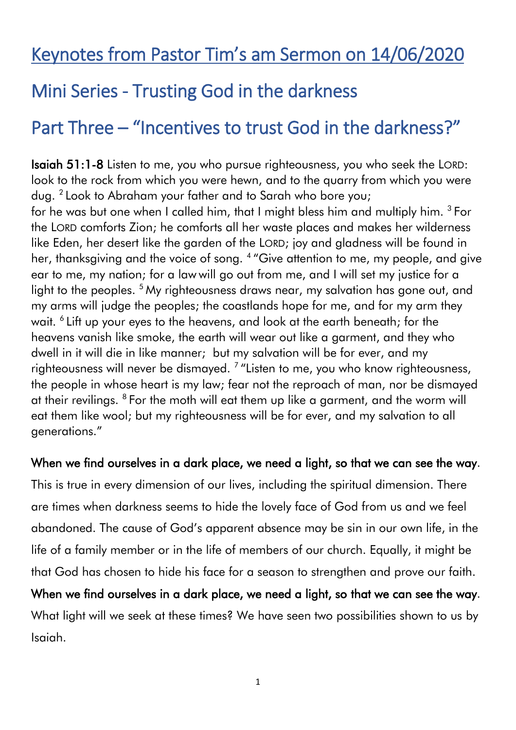## Keynotes from Pastor Tim's am Sermon on 14/06/2020

## Mini Series - Trusting God in the darkness

# Part Three – "Incentives to trust God in the darkness?"

Isaiah 51:1-8 Listen to me, you who pursue righteousness, you who seek the LORD: look to the rock from which you were hewn, and to the quarry from which you were dug. <sup>2</sup> Look to Abraham your father and to Sarah who bore you; for he was but one when I called him, that I might bless him and multiply him. <sup>3</sup> For the LORD comforts Zion; he comforts all her waste places and makes her wilderness like Eden, her desert like the garden of the LORD; joy and gladness will be found in her, thanksgiving and the voice of song. <sup>4</sup> "Give attention to me, my people, and give ear to me, my nation; for a law will go out from me, and I will set my justice for a light to the peoples. <sup>5</sup> My righteousness draws near, my salvation has gone out, and my arms will judge the peoples; the coastlands hope for me, and for my arm they wait. <sup>6</sup> Lift up your eyes to the heavens, and look at the earth beneath; for the heavens vanish like smoke, the earth will wear out like a garment, and they who dwell in it will die in like manner; but my salvation will be for ever, and my righteousness will never be dismayed. <sup>7</sup> "Listen to me, you who know righteousness, the people in whose heart is my law; fear not the reproach of man, nor be dismayed at their revilings. <sup>8</sup> For the moth will eat them up like a garment, and the worm will eat them like wool; but my righteousness will be for ever, and my salvation to all generations."

#### When we find ourselves in a dark place, we need a light, so that we can see the way.

This is true in every dimension of our lives, including the spiritual dimension. There are times when darkness seems to hide the lovely face of God from us and we feel abandoned. The cause of God's apparent absence may be sin in our own life, in the life of a family member or in the life of members of our church. Equally, it might be that God has chosen to hide his face for a season to strengthen and prove our faith.

When we find ourselves in a dark place, we need a light, so that we can see the way. What light will we seek at these times? We have seen two possibilities shown to us by Isaiah.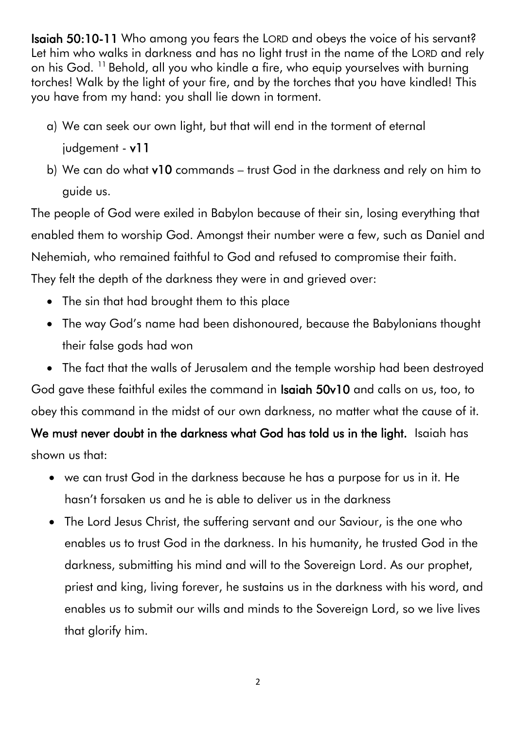Isaiah 50:10-11 Who among you fears the LORD and obeys the voice of his servant? Let him who walks in darkness and has no light trust in the name of the LORD and rely on his God. <sup>11</sup> Behold, all you who kindle a fire, who equip yourselves with burning torches! Walk by the light of your fire, and by the torches that you have kindled! This you have from my hand: you shall lie down in torment.

- a) We can seek our own light, but that will end in the torment of eternal judgement - v11
- b) We can do what v10 commands trust God in the darkness and rely on him to guide us.

The people of God were exiled in Babylon because of their sin, losing everything that enabled them to worship God. Amongst their number were a few, such as Daniel and Nehemiah, who remained faithful to God and refused to compromise their faith. They felt the depth of the darkness they were in and grieved over:

- The sin that had brought them to this place
- The way God's name had been dishonoured, because the Babylonians thought their false gods had won
- The fact that the walls of Jerusalem and the temple worship had been destroyed God gave these faithful exiles the command in Isaiah 50v10 and calls on us, too, to

obey this command in the midst of our own darkness, no matter what the cause of it.

We must never doubt in the darkness what God has told us in the light. Isaiah has shown us that:

- we can trust God in the darkness because he has a purpose for us in it. He hasn't forsaken us and he is able to deliver us in the darkness
- The Lord Jesus Christ, the suffering servant and our Saviour, is the one who enables us to trust God in the darkness. In his humanity, he trusted God in the darkness, submitting his mind and will to the Sovereign Lord. As our prophet, priest and king, living forever, he sustains us in the darkness with his word, and enables us to submit our wills and minds to the Sovereign Lord, so we live lives that glorify him.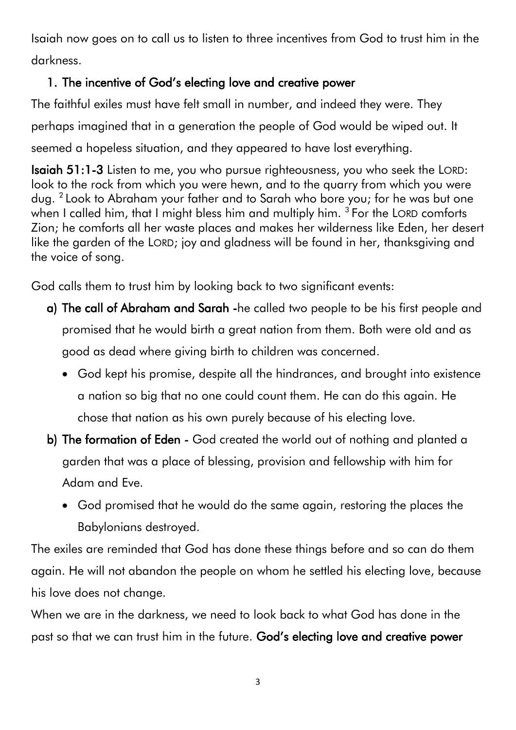Isaiah now goes on to call us to listen to three incentives from God to trust him in the darkness.

## 1. The incentive of God's electing love and creative power

The faithful exiles must have felt small in number, and indeed they were. They perhaps imagined that in a generation the people of God would be wiped out. It seemed a hopeless situation, and they appeared to have lost everything.

Isaiah 51:1-3 Listen to me, you who pursue righteousness, you who seek the LORD: look to the rock from which you were hewn, and to the quarry from which you were dug. <sup>2</sup> Look to Abraham your father and to Sarah who bore you; for he was but one when I called him, that I might bless him and multiply him.  $3$  For the LORD comforts Zion; he comforts all her waste places and makes her wilderness like Eden, her desert like the garden of the LORD; joy and gladness will be found in her, thanksgiving and the voice of song.

God calls them to trust him by looking back to two significant events:

- a) The call of Abraham and Sarah -he called two people to be his first people and promised that he would birth a great nation from them. Both were old and as good as dead where giving birth to children was concerned.
	- God kept his promise, despite all the hindrances, and brought into existence a nation so big that no one could count them. He can do this again. He chose that nation as his own purely because of his electing love.
- b) The formation of Eden God created the world out of nothing and planted a garden that was a place of blessing, provision and fellowship with him for Adam and Eve.
	- God promised that he would do the same again, restoring the places the Babylonians destroyed.

The exiles are reminded that God has done these things before and so can do them again. He will not abandon the people on whom he settled his electing love, because his love does not change.

When we are in the darkness, we need to look back to what God has done in the past so that we can trust him in the future. God's electing love and creative power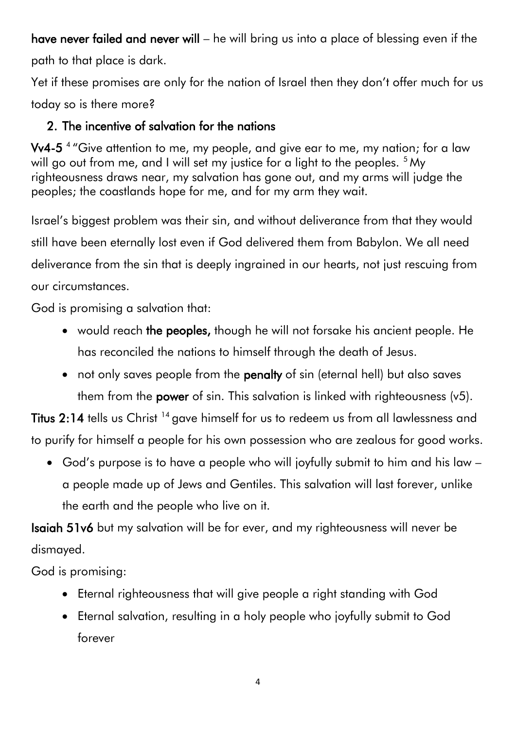have never failed and never will – he will bring us into a place of blessing even if the path to that place is dark.

Yet if these promises are only for the nation of Israel then they don't offer much for us today so is there more?

### 2. The incentive of salvation for the nations

Vv4-5 4 "Give attention to me, my people, and give ear to me, my nation; for a law will go out from me, and I will set my justice for a light to the peoples. <sup>5</sup> My righteousness draws near, my salvation has gone out, and my arms will judge the peoples; the coastlands hope for me, and for my arm they wait.

Israel's biggest problem was their sin, and without deliverance from that they would still have been eternally lost even if God delivered them from Babylon. We all need deliverance from the sin that is deeply ingrained in our hearts, not just rescuing from our circumstances.

God is promising a salvation that:

- would reach the peoples, though he will not forsake his ancient people. He has reconciled the nations to himself through the death of Jesus.
- not only saves people from the **penalty** of sin (eternal hell) but also saves them from the **power** of sin. This salvation is linked with righteousness  $(v5)$ .

Titus 2:14 tells us Christ <sup>14</sup> gave himself for us to redeem us from all lawlessness and to purify for himself a people for his own possession who are zealous for good works.

 God's purpose is to have a people who will joyfully submit to him and his law – a people made up of Jews and Gentiles. This salvation will last forever, unlike the earth and the people who live on it.

Isaiah 51v6 but my salvation will be for ever, and my righteousness will never be dismayed.

God is promising:

- Eternal righteousness that will give people a right standing with God
- Eternal salvation, resulting in a holy people who joyfully submit to God forever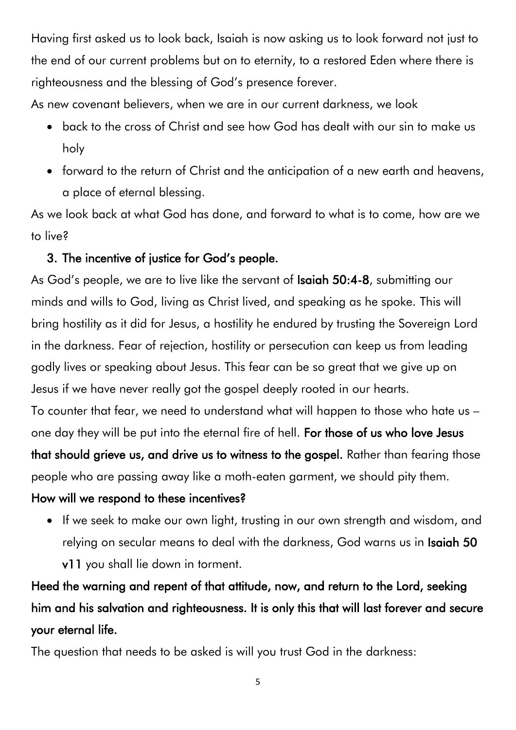Having first asked us to look back, Isaiah is now asking us to look forward not just to the end of our current problems but on to eternity, to a restored Eden where there is righteousness and the blessing of God's presence forever.

As new covenant believers, when we are in our current darkness, we look

- back to the cross of Christ and see how God has dealt with our sin to make us holy
- forward to the return of Christ and the anticipation of a new earth and heavens, a place of eternal blessing.

As we look back at what God has done, and forward to what is to come, how are we to live?

### 3. The incentive of justice for God's people.

As God's people, we are to live like the servant of **Isaiah 50:4-8**, submitting our minds and wills to God, living as Christ lived, and speaking as he spoke. This will bring hostility as it did for Jesus, a hostility he endured by trusting the Sovereign Lord in the darkness. Fear of rejection, hostility or persecution can keep us from leading godly lives or speaking about Jesus. This fear can be so great that we give up on Jesus if we have never really got the gospel deeply rooted in our hearts. To counter that fear, we need to understand what will happen to those who hate us – one day they will be put into the eternal fire of hell. For those of us who love Jesus that should grieve us, and drive us to witness to the gospel. Rather than fearing those people who are passing away like a moth-eaten garment, we should pity them.

### How will we respond to these incentives?

 If we seek to make our own light, trusting in our own strength and wisdom, and relying on secular means to deal with the darkness, God warns us in Isaiah 50

v11 you shall lie down in torment.

Heed the warning and repent of that attitude, now, and return to the Lord, seeking him and his salvation and righteousness. It is only this that will last forever and secure your eternal life.

The question that needs to be asked is will you trust God in the darkness: